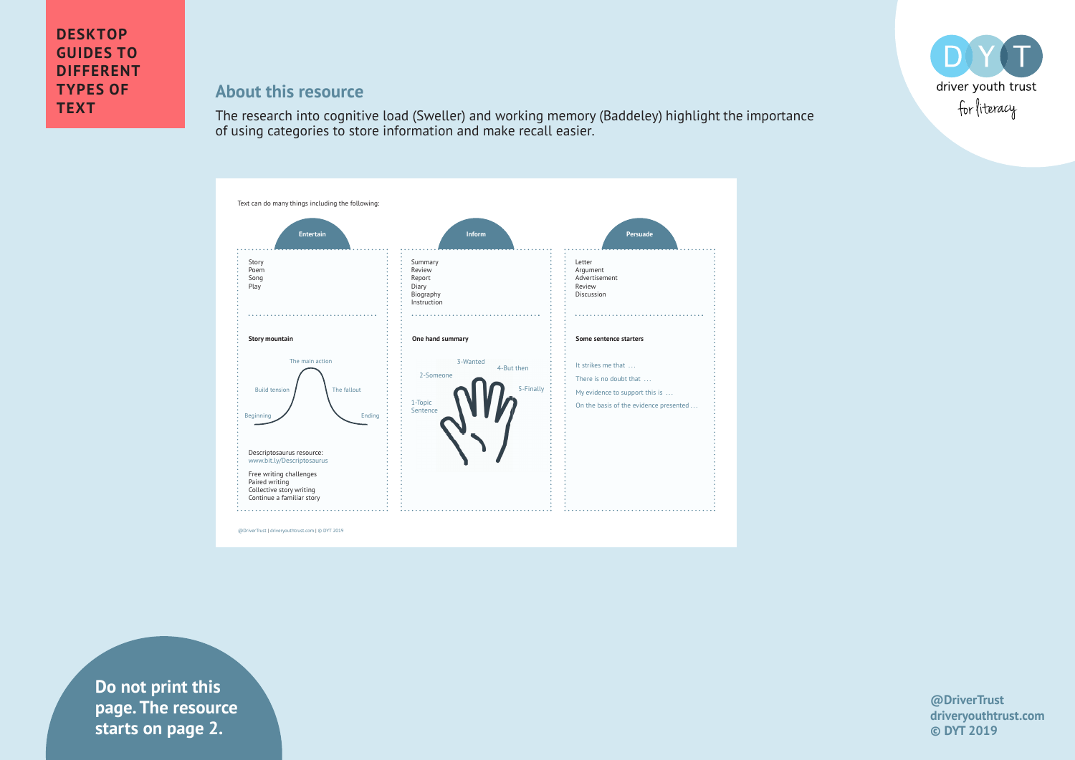

## **About this resource**

The research into cognitive load (Sweller) and working memory (Baddeley) highlight the importance of using categories to store information and make recall easier.



**drivers in text** starts on page 2. **Do not print this page. The resource** 

**@DriverTrust driveryouthtrust.com © DYT 2019**